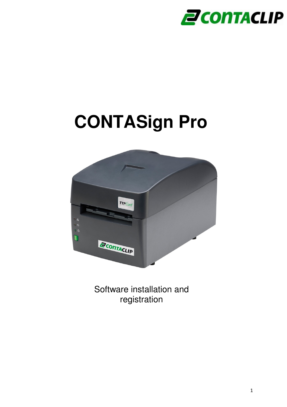

# **CONTASign Pro**



Software installation and registration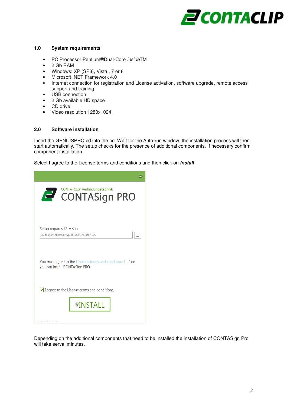

## **1.0 System requirements**

- PC Processor Pentium®Dual-Core insideTM
- 2 Gb RAM
- Windows: XP (SP3), Vista , 7 or 8
- Microsoft .NET Framework 4.0
- Internet connection for registration and License activation, software upgrade, remote access support and training
- USB connection
- 2 Gb available HD space
- CD drive
- Video resolution 1280x1024

#### **2.0 Software installation**

Insert the GENIUSPRO cd into the pc. Wait for the Auto-run window, the installation process will then start automatically. The setup checks for the presence of additional components. If necessary confirm component installation.

Select I agree to the License terms and conditions and then click on **Install** 

| ж                                                                                            |
|----------------------------------------------------------------------------------------------|
| CONTA-CLIP Verbindungstechnik<br><b>CONTASign PRO</b>                                        |
| Setup requires 66 MB in:<br>C:\Program Files\ContaClip\CONTASign PRO\<br>                    |
| You must agree to the Licenses terms and conditions before<br>you can install CONTASign PRO. |
| $\vee$ I agree to the License terms and conditions.                                          |
| <b><i>•INSTALL</i></b>                                                                       |
| <b>Advanced Installer</b>                                                                    |

Depending on the additional components that need to be installed the installation of CONTASign Pro will take serval minutes.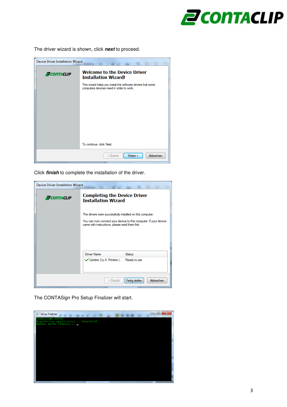

The driver wizard is shown, click **next** to proceed.

| <b>Device Driver Installation Wizard</b>                                                |                                                                                                          |  |  |  |
|-----------------------------------------------------------------------------------------|----------------------------------------------------------------------------------------------------------|--|--|--|
| <b>Welcome to the Device Driver</b><br><b>PCONTACLIP</b><br><b>Installation Wizard!</b> |                                                                                                          |  |  |  |
|                                                                                         | This wizard helps you install the software drivers that some<br>computers devices need in order to work. |  |  |  |
|                                                                                         |                                                                                                          |  |  |  |
|                                                                                         |                                                                                                          |  |  |  |
|                                                                                         |                                                                                                          |  |  |  |
|                                                                                         | To continue, click Next.                                                                                 |  |  |  |
|                                                                                         | < Zurück<br>Weiter<br>Abbrechen                                                                          |  |  |  |

Click **finish** to complete the installation of the driver.

| Device Driver Installation Wizard       |                                                                                                              |                                                                  |  |  |  |
|-----------------------------------------|--------------------------------------------------------------------------------------------------------------|------------------------------------------------------------------|--|--|--|
| <b>PCONTACLIP</b>                       | <b>Completing the Device Driver</b><br><b>Installation Wizard</b>                                            |                                                                  |  |  |  |
|                                         | The drivers were successfully installed on this computer.<br>came with instructions, please read them first. | You can now connect your device to this computer. If your device |  |  |  |
|                                         | Driver Name                                                                                                  | Status                                                           |  |  |  |
|                                         | ◯ Cembre S.p.A. Printers ( Ready to use                                                                      |                                                                  |  |  |  |
| Fertig stellen<br>Abbrechen<br>< Zurück |                                                                                                              |                                                                  |  |  |  |

The CONTASign Pro Setup Finalizer will start.

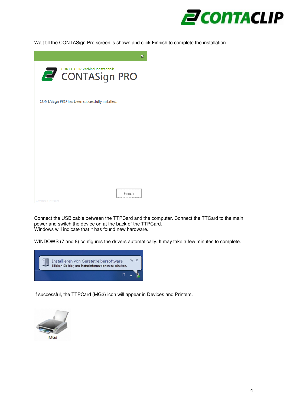

Wait till the CONTASign Pro screen is shown and click Finnish to complete the installation.

| $\mathbf{x}$                                   |
|------------------------------------------------|
| <b>CONTASign PRO</b>                           |
| CONTASign PRO has been successfully installed. |
|                                                |
|                                                |
|                                                |
| Finish                                         |
| Advanced Installer                             |

Connect the USB cable between the TTPCard and the computer. Connect the TTCard to the main power and switch the device on at the back of the TTPCard. Windows will indicate that it has found new hardware.

WINDOWS (7 and 8) configures the drivers automatically. It may take a few minutes to complete.



If successful, the TTPCard (MG3) icon will appear in Devices and Printers.

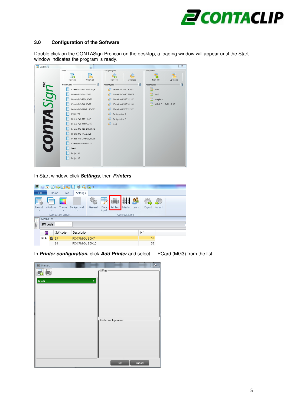

## **3.0 Configuration of the Software**

Double click on the CONTASign Pro icon on the desktop, a loading window will appear until the Start window indicates the program is ready.



In Start window, click **Settings,** then **Printers**

| e                   |            |                   |                    | e Brobrehore -           |                  |               |          |                |                    |               |        |  |
|---------------------|------------|-------------------|--------------------|--------------------------|------------------|---------------|----------|----------------|--------------------|---------------|--------|--|
|                     | File       |                   | Home<br>Job        | Settings                 |                  |               |          |                |                    |               |        |  |
| Layout<br>÷         |            | Windows<br>$\sim$ | Theme<br>٠         | Background<br>٠          | General          | Data<br>input | Printers | E<br>Media     | U.<br><b>Users</b> | for<br>Export | Import |  |
|                     |            |                   | Application aspect |                          |                  |               |          | Configurations |                    |               |        |  |
| $\frac{0.01}{1.00}$ | Media list |                   |                    |                          |                  |               |          |                |                    |               |        |  |
| Job                 | SW code    |                   |                    | $\overline{\phantom{a}}$ |                  |               |          |                |                    |               |        |  |
|                     | 冒          |                   | SW code            | Description              |                  |               |          |                |                    | N°            |        |  |
|                     | Θ<br>٠     | ⋒                 | 13                 | <b>PC-CPM-01 E 5X7</b>   |                  |               |          |                |                    | 56            |        |  |
|                     |            |                   | 14                 |                          | PC-CPM-01 E 5X10 |               |          | 56             |                    |               |        |  |

In **Printer configuration,** click **Add Printer** and select TTPCard (MG3) from the list.

| <b>島</b> Printers                 | $\mathbf{x}$<br>Offset-  |
|-----------------------------------|--------------------------|
|                                   |                          |
| MG3k<br>$\boldsymbol{\mathsf{v}}$ |                          |
|                                   |                          |
|                                   |                          |
|                                   |                          |
|                                   | Printer configuration -  |
|                                   |                          |
|                                   |                          |
|                                   |                          |
|                                   |                          |
|                                   | O <sub>k</sub><br>Cancel |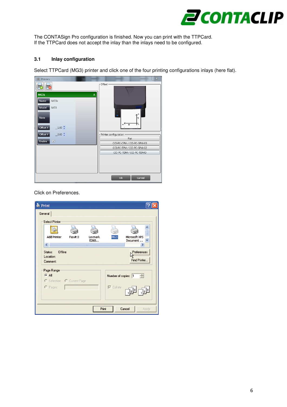

The CONTASign Pro configuration is finished. Now you can print with the TTPCard. If the TTPCard does not accept the inlay than the inlays need to be configured.

# **3.1 Inlay configuration**

Select TTPCard (MG3) printer and click one of the four printing configurations inlays (here flat).

| <b>島</b> Printers                       | $\mathbbm{X}$                      |
|-----------------------------------------|------------------------------------|
|                                         | -Offset -                          |
| MG3k<br>$\hat{\mathbf{x}}$              |                                    |
| Name<br>MG3k                            |                                    |
| Model<br>MG3                            |                                    |
| Note<br>$-1.00 \frac{4}{9}$<br>Offset X | $\overline{\mathsf{x}}$            |
| $-0.00 \div$<br>Offset Y                | Printer configuration              |
| $\overline{\mathbf{v}}$<br>Enable       | Flat<br>CCI-PC-CPM / CCI-PC-SPM-03 |
|                                         | CCI-PC-TPM / CCI-PC-SPM-02         |
|                                         | CCI-PC-TDM / CCI-PC-TDMO           |
|                                         |                                    |
|                                         |                                    |
| <b>STARTS</b>                           | O <sub>k</sub><br>Cancel           |

Click on Preferences.

| <b>Print</b>                                       |                            |                 |                     |                             |
|----------------------------------------------------|----------------------------|-----------------|---------------------|-----------------------------|
| General                                            |                            |                 |                     |                             |
| <b>Select Printer</b>                              |                            |                 |                     |                             |
|                                                    |                            |                 |                     |                             |
| <b>Add Printer</b><br>$\left\langle \right\rangle$ | Fax#:3                     | Lexmark<br>E260 | MG3                 | Microsoft XPS<br>Document   |
| Offline<br>Status:<br>Location:<br>Comment:        |                            |                 |                     | Preferences<br>Find Printer |
| Page Range<br>$G$ All                              | C Selection C Current Page |                 | Number of copies: 1 | $\frac{1}{100}$             |
| C Pages:                                           |                            |                 | $\nabla$ Collate    | $2^3$                       |
|                                                    |                            | Print           |                     | Cancel<br>Apply             |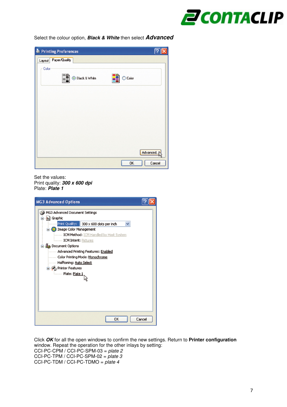

Select the colour option, **Black & White** then select **Advanced** 

| Advanced |
|----------|
| Cancel   |
|          |

Set the values: Print quality: **300 x 600 dpi**  Plate: **Plate 1** 

| <b>MG3 Advanced Options</b>                                                                                                                                                                                                                                                                                                                                                              |
|------------------------------------------------------------------------------------------------------------------------------------------------------------------------------------------------------------------------------------------------------------------------------------------------------------------------------------------------------------------------------------------|
| MG3 Advanced Document Settings<br><b>In</b> ] Graphic<br>Print Quality: 300 x 600 dots per inch<br><b>D</b> Image Color Management<br><b>ICM Method:</b> ICM Handled by Host System<br><b>ICM Intent: Pictures</b><br>in its Document Options<br>Advanced Printing Features: Enabled<br>Color Printing Mode: Monochrome<br>Halftoning: Auto Select<br>Printer Features<br>Plate: Plate 1 |
| Cancel<br>OK                                                                                                                                                                                                                                                                                                                                                                             |

Click **OK** for all the open windows to confirm the new settings. Return to **Printer configuration** window. Repeat the operation for the other inlays by setting: CCI-PC-CPM / CCI-PC-SPM-03 =  $plate 2$ CCI-PC-TPM / CCI-PC-SPM-02 =  $plate 3$ CCI-PC-TDM / CCI-PC-TDMO =  $plate 4$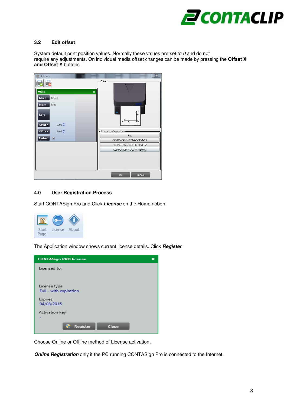

# **3.2 Edit offset**

System default print position values. Normally these values are set to 0 and do not require any adjustments. On individual media offset changes can be made by pressing the **Offset X and Offset Y** buttons.



# **4.0 User Registration Process**

Start CONTASign Pro and Click **License** on the Home ribbon.



The Application window shows current license details. Click **Register**



Choose Online or Offline method of License activation.

**Online Registration** only if the PC running CONTASign Pro is connected to the Internet.